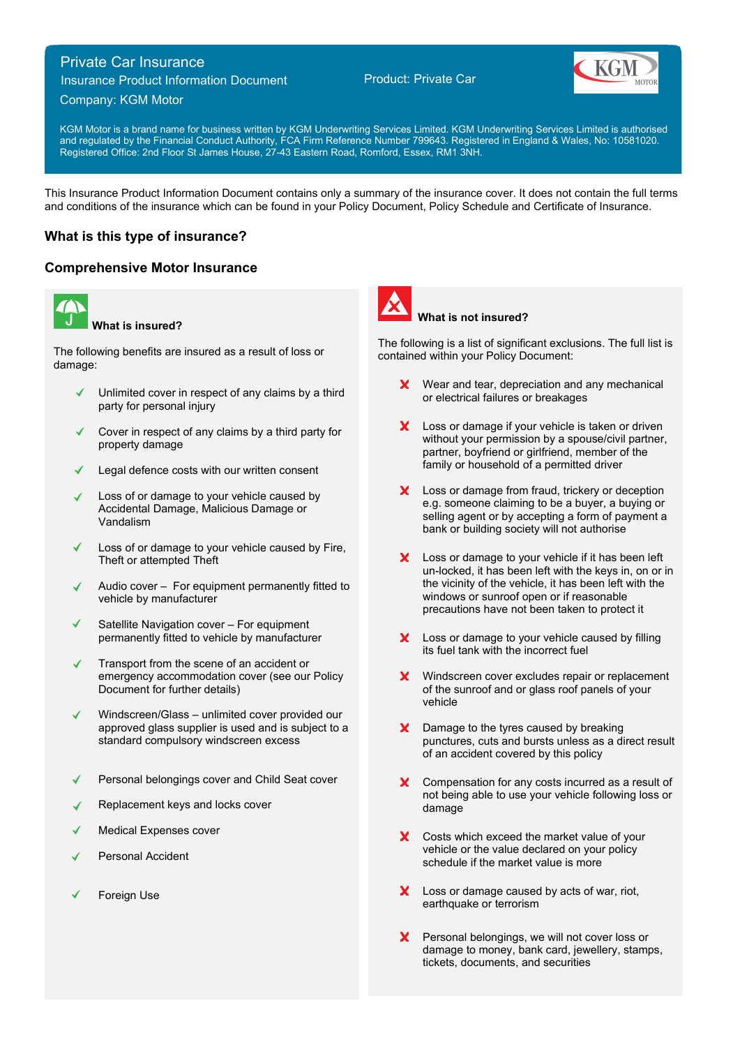# Private Car Insurance

Insurance Product Information Document

## Company: KGM Motor

Product: Private Car



KGM Motor is a brand name for business written by KGM Underwriting Services Limited. KGM Underwriting Services Limited is authorised and regulated by the Financial Conduct Authority, FCA Firm Reference Number 799643. Registered in England & Wales, No: 10581020. Registered Office: 2nd Floor St James House, 27-43 Eastern Road, Romford, Essex, RM1 3NH.

This Insurance Product Information Document contains only a summary of the insurance cover. It does not contain the full terms and conditions of the insurance which can be found in your Policy Document, Policy Schedule and Certificate of Insurance.

# **What is this type of insurance?**

## **Comprehensive Motor Insurance**



**What is insured?**

The following benefits are insured as a result of loss or damage:

- Unlimited cover in respect of any claims by a third party for personal injury
- Cover in respect of any claims by a third party for property damage
- Legal defence costs with our written consent
- Loss of or damage to your vehicle caused by Accidental Damage, Malicious Damage or Vandalism
- Loss of or damage to your vehicle caused by Fire, Theft or attempted Theft
- Audio cover For equipment permanently fitted to vehicle by manufacturer
- Satellite Navigation cover For equipment permanently fitted to vehicle by manufacturer
- $\mathcal{L}$ Transport from the scene of an accident or emergency accommodation cover (see our Policy Document for further details)
- Windscreen/Glass unlimited cover provided our approved glass supplier is used and is subject to a standard compulsory windscreen excess
- Personal belongings cover and Child Seat cover
- Replacement keys and locks cover
- Medical Expenses cover
- Personal Accident
- Foreign Use



### **What is not insured?**

The following is a list of significant exclusions. The full list is contained within your Policy Document:

- **X** Wear and tear, depreciation and any mechanical or electrical failures or breakages
- X Loss or damage if your vehicle is taken or driven without your permission by a spouse/civil partner, partner, boyfriend or girlfriend, member of the family or household of a permitted driver
- X Loss or damage from fraud, trickery or deception e.g. someone claiming to be a buyer, a buying or selling agent or by accepting a form of payment a bank or building society will not authorise
- Loss or damage to your vehicle if it has been left un-locked, it has been left with the keys in, on or in the vicinity of the vehicle, it has been left with the windows or sunroof open or if reasonable precautions have not been taken to protect it
- X Loss or damage to your vehicle caused by filling its fuel tank with the incorrect fuel
- **X** Windscreen cover excludes repair or replacement of the sunroof and or glass roof panels of your vehicle
- X Damage to the tyres caused by breaking punctures, cuts and bursts unless as a direct result of an accident covered by this policy
- X Compensation for any costs incurred as a result of not being able to use your vehicle following loss or damage
- $\mathbf{x}$ Costs which exceed the market value of your vehicle or the value declared on your policy schedule if the market value is more
- X Loss or damage caused by acts of war, riot, earthquake or terrorism
- **X** Personal belongings, we will not cover loss or damage to money, bank card, jewellery, stamps, tickets, documents, and securities